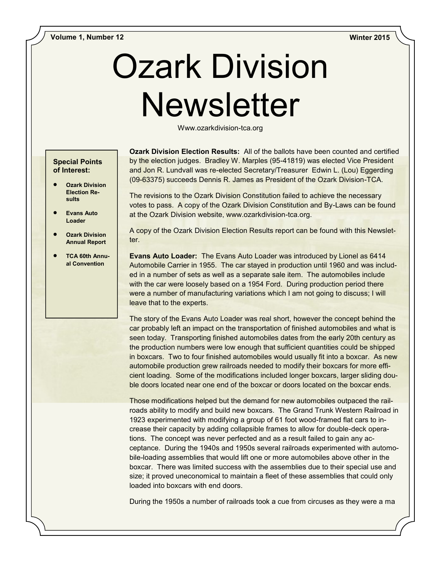# Ozark Division **Newsletter**

Www.ozarkdivision-tca.org

## **Special Points of Interest:**

- **Ozark Division Election Results**
- **Evans Auto Loader**
- **Ozark Division Annual Report**
- **TCA 60th Annual Convention**

**Ozark Division Election Results:** All of the ballots have been counted and certified by the election judges. Bradley W. Marples (95-41819) was elected Vice President and Jon R. Lundvall was re-elected Secretary/Treasurer Edwin L. (Lou) Eggerding (09-63375) succeeds Dennis R. James as President of the Ozark Division-TCA.

The revisions to the Ozark Division Constitution failed to achieve the necessary votes to pass. A copy of the Ozark Division Constitution and By-Laws can be found at the Ozark Division website, www.ozarkdivision-tca.org.

A copy of the Ozark Division Election Results report can be found with this Newsletter.

**Evans Auto Loader:** The Evans Auto Loader was introduced by Lionel as 6414 Automobile Carrier in 1955. The car stayed in production until 1960 and was included in a number of sets as well as a separate sale item. The automobiles include with the car were loosely based on a 1954 Ford. During production period there were a number of manufacturing variations which I am not going to discuss; I will leave that to the experts.

The story of the Evans Auto Loader was real short, however the concept behind the car probably left an impact on the transportation of finished automobiles and what is seen today. Transporting finished automobiles dates from the early 20th century as the production numbers were low enough that sufficient quantities could be shipped in boxcars. Two to four finished automobiles would usually fit into a boxcar. As new automobile production grew railroads needed to modify their boxcars for more efficient loading. Some of the modifications included longer boxcars, larger sliding double doors located near one end of the boxcar or doors located on the boxcar ends.

Those modifications helped but the demand for new automobiles outpaced the railroads ability to modify and build new boxcars. The Grand Trunk Western Railroad in 1923 experimented with modifying a group of 61 foot wood-framed flat cars to increase their capacity by adding collapsible frames to allow for double-deck operations. The concept was never perfected and as a result failed to gain any acceptance. During the 1940s and 1950s several railroads experimented with automobile-loading assemblies that would lift one or more automobiles above other in the boxcar. There was limited success with the assemblies due to their special use and size; it proved uneconomical to maintain a fleet of these assemblies that could only loaded into boxcars with end doors.

During the 1950s a number of railroads took a cue from circuses as they were a ma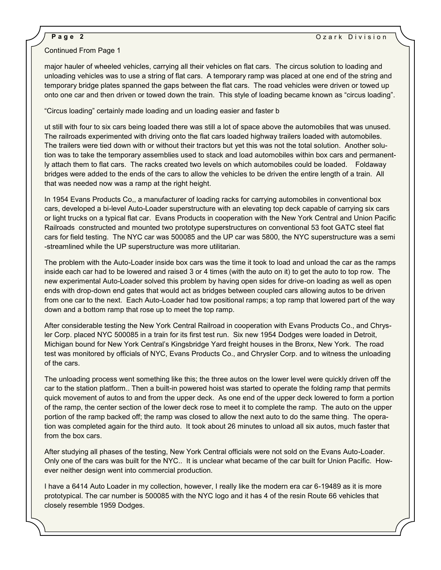## Continued From Page 1

major hauler of wheeled vehicles, carrying all their vehicles on flat cars. The circus solution to loading and unloading vehicles was to use a string of flat cars. A temporary ramp was placed at one end of the string and temporary bridge plates spanned the gaps between the flat cars. The road vehicles were driven or towed up onto one car and then driven or towed down the train. This style of loading became known as "circus loading".

"Circus loading" certainly made loading and un loading easier and faster b

 bridges were added to the ends of the cars to allow the vehicles to be driven the entire length of a train. All ut still with four to six cars being loaded there was still a lot of space above the automobiles that was unused. The railroads experimented with driving onto the flat cars loaded highway trailers loaded with automobiles. The trailers were tied down with or without their tractors but yet this was not the total solution. Another solution was to take the temporary assemblies used to stack and load automobiles within box cars and permanently attach them to flat cars. The racks created two levels on which automobiles could be loaded. Foldaway that was needed now was a ramp at the right height.

In 1954 Evans Products Co,, a manufacturer of loading racks for carrying automobiles in conventional box cars, developed a bi-level Auto-Loader superstructure with an elevating top deck capable of carrying six cars or light trucks on a typical flat car. Evans Products in cooperation with the New York Central and Union Pacific Railroads constructed and mounted two prototype superstructures on conventional 53 foot GATC steel flat cars for field testing. The NYC car was 500085 and the UP car was 5800, the NYC superstructure was a semi -streamlined while the UP superstructure was more utilitarian.

The problem with the Auto-Loader inside box cars was the time it took to load and unload the car as the ramps inside each car had to be lowered and raised 3 or 4 times (with the auto on it) to get the auto to top row. The new experimental Auto-Loader solved this problem by having open sides for drive-on loading as well as open ends with drop-down end gates that would act as bridges between coupled cars allowing autos to be driven from one car to the next. Each Auto-Loader had tow positional ramps; a top ramp that lowered part of the way down and a bottom ramp that rose up to meet the top ramp.

After considerable testing the New York Central Railroad in cooperation with Evans Products Co., and Chrysler Corp. placed NYC 500085 in a train for its first test run. Six new 1954 Dodges were loaded in Detroit, Michigan bound for New York Central's Kingsbridge Yard freight houses in the Bronx, New York. The road test was monitored by officials of NYC, Evans Products Co., and Chrysler Corp. and to witness the unloading of the cars.

The unloading process went something like this; the three autos on the lower level were quickly driven off the car to the station platform.. Then a built-in powered hoist was started to operate the folding ramp that permits quick movement of autos to and from the upper deck. As one end of the upper deck lowered to form a portion of the ramp, the center section of the lower deck rose to meet it to complete the ramp. The auto on the upper portion of the ramp backed off; the ramp was closed to allow the next auto to do the same thing. The operation was completed again for the third auto. It took about 26 minutes to unload all six autos, much faster that from the box cars.

After studying all phases of the testing, New York Central officials were not sold on the Evans Auto-Loader. Only one of the cars was built for the NYC.. It is unclear what became of the car built for Union Pacific. However neither design went into commercial production.

I have a 6414 Auto Loader in my collection, however, I really like the modern era car 6-19489 as it is more prototypical. The car number is 500085 with the NYC logo and it has 4 of the resin Route 66 vehicles that closely resemble 1959 Dodges.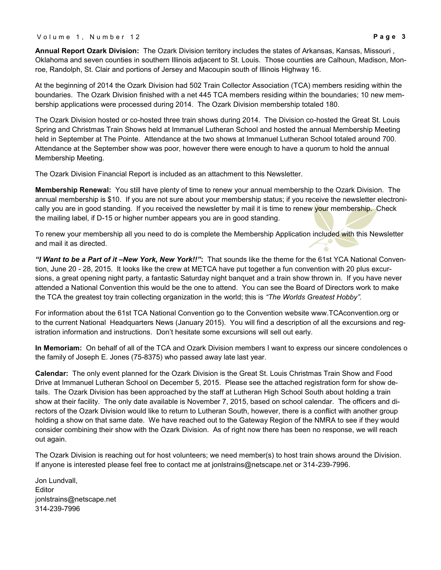V o l u m e 1, N u m b e r 1 2 **P a g e 3** 

**Annual Report Ozark Division:** The Ozark Division territory includes the states of Arkansas, Kansas, Missouri , Oklahoma and seven counties in southern Illinois adjacent to St. Louis. Those counties are Calhoun, Madison, Monroe, Randolph, St. Clair and portions of Jersey and Macoupin south of Illinois Highway 16.

At the beginning of 2014 the Ozark Division had 502 Train Collector Association (TCA) members residing within the boundaries. The Ozark Division finished with a net 445 TCA members residing within the boundaries; 10 new membership applications were processed during 2014. The Ozark Division membership totaled 180.

The Ozark Division hosted or co-hosted three train shows during 2014. The Division co-hosted the Great St. Louis Spring and Christmas Train Shows held at Immanuel Lutheran School and hosted the annual Membership Meeting held in September at The Pointe. Attendance at the two shows at Immanuel Lutheran School totaled around 700. Attendance at the September show was poor, however there were enough to have a quorum to hold the annual Membership Meeting.

The Ozark Division Financial Report is included as an attachment to this Newsletter.

**Membership Renewal:** You still have plenty of time to renew your annual membership to the Ozark Division. The annual membership is \$10. If you are not sure about your membership status; if you receive the newsletter electronically you are in good standing. If you received the newsletter by mail it is time to renew your membership. Check the mailing label, if D-15 or higher number appears you are in good standing.

To renew your membership all you need to do is complete the Membership Application included with this Newsletter and mail it as directed.

*"I Want to be a Part of it –New York, New York!!"***:** That sounds like the theme for the 61st YCA National Convention, June 20 - 28, 2015. It looks like the crew at METCA have put together a fun convention with 20 plus excursions, a great opening night party, a fantastic Saturday night banquet and a train show thrown in. If you have never attended a National Convention this would be the one to attend. You can see the Board of Directors work to make the TCA the greatest toy train collecting organization in the world; this is *"The Worlds Greatest Hobby".*

For information about the 61st TCA National Convention go to the Convention website www.TCAconvention.org or to the current National Headquarters News (January 2015). You will find a description of all the excursions and registration information and instructions. Don't hesitate some excursions will sell out early.

**In Memoriam:** On behalf of all of the TCA and Ozark Division members I want to express our sincere condolences o the family of Joseph E. Jones (75-8375) who passed away late last year.

**Calendar:** The only event planned for the Ozark Division is the Great St. Louis Christmas Train Show and Food Drive at Immanuel Lutheran School on December 5, 2015. Please see the attached registration form for show details. The Ozark Division has been approached by the staff at Lutheran High School South about holding a train show at their facility. The only date available is November 7, 2015, based on school calendar. The officers and directors of the Ozark Division would like to return to Lutheran South, however, there is a conflict with another group holding a show on that same date. We have reached out to the Gateway Region of the NMRA to see if they would consider combining their show with the Ozark Division. As of right now there has been no response, we will reach out again.

The Ozark Division is reaching out for host volunteers; we need member(s) to host train shows around the Division. If anyone is interested please feel free to contact me at jonlstrains@netscape.net or 314-239-7996.

Jon Lundvall, **Editor** jonlstrains@netscape.net 314-239-7996